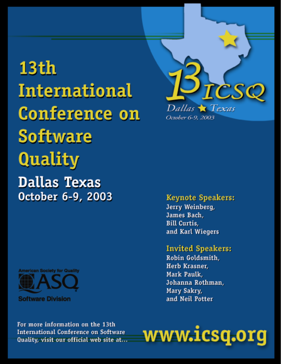# **13th International Conference on Software Quality Dallas Texas** October 6-9, 2003



**Software Division** 



**Keynote Speakers:** 

Jerry Weinberg, James Bach, **Bill Curtis.** and Karl Wiegers

# **Invited Speakers:**

Robin Goldsmith, Herb Krasner, Mark Paulk, Johanna Rothman, Mary Sakry, and Neil Potter

For more information on the 13th **International Conference on Software** Quality, visit our official web site at...

# www.icsq.org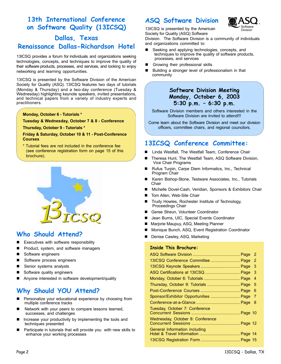# **13th International Conference on Software Quality (13ICSQ)**

# **Dallas, Texas Renaissance Dallas-Richardson Hotel**

13ICSQ provides a forum for individuals and organizations seeking technologies, concepts, and techniques to improve the quality of their software products, processes, and services, and looking to enjoy networking and learning opportunities.

13ICSQ is presented by the Software Division of the American Society for Quality (ASQ). 13ICSQ features two days of tutorials (Monday & Thursday) and a two-day conference (Tuesday & Wednesday) highlighting keynote speakers, invited presentations, and technical papers from a variety of industry experts and practitioners.

#### **Monday, October 6 - Tutorials \***

**Tuesday & Wednesday, October 7 & 8 - Conference**

**Thursday, October 9 - Tutorials \***

#### **Friday & Saturday, October 10 & 11 - Post-Conference Courses**

\* Tutorial fees are not included in the conference fee (see conference registration form on page 15 of this brochure).



# **Who Should Attend?**

- Executives with software responsibility
- Product, system, and software managers
- Software engineers
- Software process engineers
- Senior systems analysts
- Software quality engineers
- Anyone interested in software development/quality

# **Why Should YOU Attend?**

- Personalize your educational experience by choosing from multiple conference tracks
- Network with your peers to compare lessons learned, successes, and challenges
- Increase your productivity by implementing the tools and techniques presented
- Participate in tutorials that will provide you with new skills to enhance your working processes

### **ASQ Software Division**



13ICSQ is presented by the American Society for Quality (ASQ) Software

Division. The Software Division is a community of individuals and organizations committed to:

- Seeking and applying technologies, concepts, and techniques to improve the quality of software products, processes, and services
- Growing their professional skills
- Building a stronger level of professionalism in that community

### **Software Division Meeting Monday, October 6, 2003 5:30 p.m. – 6:30 p.m.**

Software Division members and others interested in the Software Division are invited to attend!!!

Come learn about the Software Division and meet our division officers, committee chairs, and regional councilors.

# **13ICSQ Conference Committee:**

- Linda Westfall, The Westfall Team, Conference Chair
- Theresa Hunt, The Westfall Team, ASQ Software Division, Vice Chair Programs
- Rufus Turpin, Carpe Diem Informatics, Inc., Technical Program Chair
- Karen Bishop-Stone, Testware Associates, Inc., Tutorials **Chair**
- Michelle Dovel-Cash, Veridian, Sponsors & Exhibitors Chair
- Tom Allen, Web-Site Chair
- Trudy Howles, Rochester Institute of Technology, Proceedings Chair
- Geree Streun, Volunteer Coordinator
- Jean Burns, UIC, Special Events Coordinator
- Marjorie Maupuy, ASQ, Meeting Planner
- Monique Bunch, ASQ, Event Registration Coordinator
- Denise Cawley, ASQ, Marketing

#### **Inside This Brochure:**

| 13ICSQ Conference Committee  Page     | 2 |
|---------------------------------------|---|
|                                       | 3 |
|                                       | 3 |
|                                       | 4 |
| Thursday, October 9: Tutorials  Page  | 5 |
|                                       | 6 |
| Sponsor/Exhibitor Opportunities  Page | 7 |
|                                       | 8 |
| Tuesday, October 7: Conference        |   |
| Wednesday, October 8: Conference      |   |
| General Information including         |   |
|                                       |   |
|                                       |   |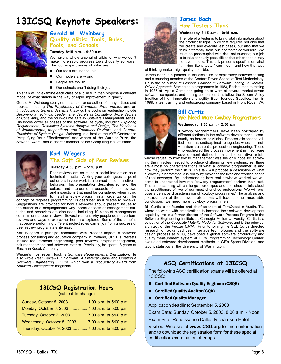# **13ICSQ Keynote Speakers: James Bach**



### **Gerald M. Weinberg Quality Alibis: Tools, Rules, Fools, and Schools**

#### **Tuesday 8:15 a.m. - 9:30 a.m.**

We have a whole arsenal of alibis for why we don't make more rapid progress toward quality software. The four major classes of alibis are:

- Our tools are inadequate
- Our models are wrong
- People are foolish
- Our schools aren't doing their job

This talk will to examine each class of alibi in turn then propose a different model of what stands in the way of rapid improvement in quality.

Gerald M. Weinberg (Jerry) is the author or co-author of many articles and books, including *The Psychology of Computer Programming* and an *Introduction to General Systems Thinking*. His books on leadership include *Becoming a Technical Leader, The Secrets of Consulting, More Secrets of Consulting*, and the four-volume *Quality Software Management* series. His books cover all phases of the software life cycle, including *Exploring Requirements, Rethinking Systems Analysis and Design, The Handbook of Walkthroughs, Inspections, and Technical Reviews*, and *General Principles of System Design*. Weinberg is a host of the AYE Conference (Amplifying Your Effectiveness) and winner of the Warnier Prize, the Stevens Award, and a charter member of the Computing Hall of Fame.



### **Karl Wiegers**

#### **The Soft Side of Peer Reviews**

#### **Tuesday 4:30 p.m. - 5:30 p.m.**

Peer reviews are as much a social interaction as a technical practice. Asking your colleagues to point out errors in your work is a learned - not instinctive behavior. This presentation describes some of the cultural and interpersonal aspects of peer reviews and inspections that must be considered when trying to install a review program in an organization. The

concept of "egoless programming" is described as it relates to reviews. Suggestions are provided for how a reviewer should present issues to the author in a nonjudgmental way. Some aspects of management attitudes and behaviors are discussed, including 10 signs of management commitment to peer reviews. Several reasons why people do not perform reviews and ways to overcome them are explored. Some of the benefits that people performing different project roles can enjoy from a successful peer review program are itemized.

Karl Wiegers is principal consultant with Process Impact, a software process consulting and education company in Portland, OR. His interests include requirements engineering, peer reviews, project management, risk management, and software metrics. Previously, he spent 18 years at Eastman Kodak Company

Wieger's most recent book is *Software Requirements, 2nd Edition*. He also wrote *Peer Reviews in Software: A Practical Guide* and *Creating a Software Engineering Culture*, which won a Productivity Award from *Software Development* magazine.

**13ICSQ Registration Hours**

| (subject to change)                                |
|----------------------------------------------------|
| Sunday, October 5, 2003  1:00 p.m. to 5:00 p.m.    |
| Monday, October 6, 2003  7:00 a.m. to 5:00 p.m.    |
| Tuesday, October 7, 2003 7:00 a.m. to 5:00 p.m.    |
| Wednesday, October 8, 2003  7:00 a.m. to 5:00 p.m. |
| Thursday, October 9, 2003  7:00 a.m. to 3:00 p.m.  |
|                                                    |



# **How Testers Think**

#### **Wednesday 8:15 a.m. - 9:15 a.m.**

The role of a tester is to bring vital information about the product to light. To do that requires not only that we create and execute test cases, but also that we think differently from our nontester co-workers. We must be preoccupied with risk, not success; our job is to take seriously possibilities that other people may not even notice. This talk presents specifics on what "thinking like a tester" can mean, and how that way

of thinking makes high quality possible.

James Bach is a pioneer in the discipline of exploratory software testing and a founding member of the Context-Driven School of Test Methodology. He is the co-author of *Lessons Learned in Software Testing: A Context-Driven Approach*. Starting as a programmer in 1983, Bach turned to testing in 1987 at Apple Computer, going on to work at several market-driven software companies and testing companies that follow the Silicon Valley tradition of high innovation and agility. Bach founded Satisfice, Inc., in 1999, a test training and outsourcing company based in Front Royal, VA.

### **Bill Curtis**

### **We Need More Cowboy Programmers**

#### **Wednesday 1:30 p.m. - 2:30 p.m.**

'Cowboy programmers' have been portrayed by different factions in the software development community as heroes or villains. Process aficionados vilified them as undisciplined renegades whose individualism is a threat to professional engineering. Those who eschewed the process movement in software development deified them as the creative artists

whose refusal to kow tow to management was the only hope for achieving the miracles needed to produce challenging new systems. Yet there are almost no characterizations of what a 'cowboy programmer' is and how they perform their skills. This talk will propose a description of what a 'cowboy programmer' is in reality by exploring the lives and working habits of real cowboys. By understanding how real cowboys worked we will come to understand how real 'cowboy programmers' perform their craft. This understanding will challenge stereotypes and cherished beliefs about the practitioners of two of our most cherished professions. We will propose a definitive characterization of 'cowboy programmer.' The analysis and juxtaposition of these two professions will lead to one inexorable conclusion...we need more 'cowboy programmers.

Bill Curtis is co-founder and chief scientist of TeraQuest in Austin, TX, where he works with organizations to increase their software development capability. He is a former director of the Software Process Program in the Software Engineering Institute at Carnegie Mellon University. Curtis is a co-author of the *Capability Maturity Model for Software*, and is the principal architect of the People CMM. Prior to joining the SEI, Curtis directed research on advanced user interface technologies and the software design process at MCC, developed a global software productivity and quality measurement system at ITT's Programming Technology Center, evaluated software development methods in GE's Space Division, and taught statistics at the University of Washington.

# **ASQ Certifications at 13ICSQ**

The following ASQ certification exams will be offered at 13ICSQ:

- Certified Software Quality Engineer (CSQE)
- Certified Quality Auditor (CQA)
- Certified Quality Manager

Application deadline: September 5, 2003

Exam Date: Sunday, Obtober 5, 2003, 8:00 a.m. - Noon

Exam Site: Renaissance Dallas-Richardson Hotel

Visit our Web site at **www.ICSQ.org** for more information and to download the registration form for these special certification examination offerings.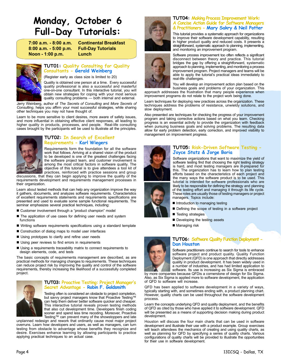# **Monday, October 6 Full-Day Tutorials:**

**8:00 a.m. - 5:00 p.m. Full-Day Tutorials Noon - 1:00 p.m. Lunch**

**7:00 a.m. - 8:00 a.m. Continental Breakfast**



#### **TUT01: Quality Consulting for Quality Consultants - Gerald Weinberg**

(Register early as class size is limited to 20)

Quality is obtained one person at a time. Every successful quality professional is also a successful and masterful one-on-one consultant. In this interactive tutorial, you will obtain new strategies for coping with your most serious quality consulting problems — both internal and external.

Jerry Weinberg, author of *The Secrets of Consulting* and *More Secrets of Consulting*, helps you affirm your most successful strategies, while sharing other techniques you may not have thought of.

Learn to be more sensitive to client desires, more aware of safety issues, and more influential in obtaining effective client responses, all leading to higher quality in products, processes, and people. Real-life consulting cases brought by the participants will be used to illustrate all the principles.



#### **TUT02: In Search of Excellent Requirements - Karl Wiegers**

Requirements form the foundation for all the software work that follows. Arriving at a shared vision of the product to be developed is one of the greatest challenges facing the software project team, and customer involvement is among the most critical factors in software quality. The objective of this tutorial is to give attendees a tool kit of practices, reinforced with practice sessions and group

discussions, that they can begin applying to improve the quality of the requirements development and requirements management processes in their organization.

Learn about tested methods that can help any organization improve the way it gathers, documents, and analyzes software requirements. Characteristics of excellent requirements statements and requirements specifications are presented and used to evaluate some sample functional requirements. The seminar emphasizes several practical techniques, including:

- Customer involvement through a "product champion" model
- The application of use cases for defining user needs and system functions
- Writing software requirements specifications using a standard template
- Construction of dialog maps to model user interfaces
- Using prototypes to clarify and refine user needs
- Using peer reviews to find errors in requirements
- Using a requirements traceability matrix to connect requirements to design elements, code, and tests

The basic concepts of requirements management are described, as are practical methods for managing changes to requirements. These techniques can reduce project risk by improving the quality and control of the software requirements, thereby increasing the likelihood of a successfully completed project.



#### **TUT03: Proactive Testing: Project Manager's Secret Advantage - Robin F. Goldsmith**

Testing often is considered an obstacle to project completion, but savvy project managers know that Proactive Testing™ can help them deliver better software quicker and cheaper. This interactive tutorial reveals proven testing methods that also cut development time. Developers finish coding sooner and spend less time recoding. Moreover, Proactive Testing™ can prevent many of the showstoppers and late

unplanned redesign and rework that ordinarily cause most major project overruns. Learn how developers and users, as well as managers, can turn testing from obstacle to advantage whose benefits they recognize and desire. Exercises enhance learning by allowing participants to practice applying practical techniques to an actual case.





#### **TUT04: Making Process Improvement Work: A Concise Action Guide for Software Managers & Practitioners - Mary Sakry & Neil Potter**

This tutorial provides a systematic approach for organizations to improve their software development capability, resulting in higher product quality and reduced costs. It presents a straightforward, systematic approach to planning, implementing, and monitoring an improvement program.

Software process improvement too often reflects a significant disconnect between theory and practice. This tutorial bridges the gap by offering a straightforward, systematic approach to planning, implementing, and monitoring a process improvement program. Project managers and teams will be able to apply the tutorial's practical ideas immediately to real-life challenges.

You will develop an improvement action plan based on the business goals and problems of your organization. This approach addresses the frustration that many people experience when

improvement programs do not relate to the project work being done. Learn techniques for deploying new practices across the organization. These techniques address the problems of resistance, unwieldy solutions, and slow deployment.

Also presented are techniques for checking the progress of your improvement program and taking corrective actions based on what you learn. Checking progress is an essential activity to provide the organization with feedback when pursuing business goals and solving problems. The resulting data allow for early problem detection, early correction, and improved visibility to management on improvement progress.



#### **TUT05: Risk-Driven Software Testing - Joyce Statz & Jorge Boria**

Software organizations that want to maximize the yield of software testing find that choosing the right testing strategy is hard, and most testing managers are ill-prepared for this. The organization has to learn how to plan testing efforts based on the characteristics of each project and the many ways the software product is to be used. This tutorial is intended for software professionals who are likely to be responsible for defining the strategy and planning of the testing effort and managing it through its life cycle. These roles are usually those of testing managers or project managers. Topics include:

- Introduction to managing testing
- Defining the scope of testing in a software project
- Testing strategies
- Developing the testing assets
- Managing risk



#### **TUT06: Software Quality Function Deployment - Dan Houston**

Software practitioners continue to search for tools to enhance software project and product quality. Quality Function Deployment (QFD) is one approach that directly addresses quality in product development. It has been widely used in a number of industries, and has had limited application to software. Its use is increasing as Six Sigma is embraced

by more companies because QFDis a cornerstone of design for Six Sigma. Also, as Six Sigma is applied more to software development, the application of QFD to software will increase.

QFD has been applied to software development in a variety of ways, typically starting with, and sometimes ending with, a product planning chart. However, quality charts can be used throughout the software development process.

Learn the concepts underlying QFD and quality deployment, and the benefits of QFD as cited by those who have applied it to software development. QFD will be presented as a means of supporting decision making during product development.

Houston will discuss the four main charts that can be used in software development and illustrate their use with a product example. Group exercises will teach attendees the mechanics of creating and using quality charts, as well as planning for QFD by specifying a series of quality charts. Various configurations of quality charts will be provided to illustrate the opportunities for their use in software development.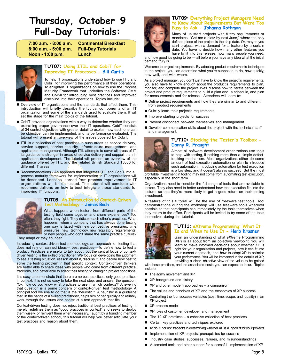# **Thursday, October 9 Full-Day Tutorials:**

**8:00 a.m. - 5:00 p.m. Full-Day Tutorials Noon - 1:00 p.m. Lunch**

**7:00 a.m. - 8:00 a.m. Continental Breakfast**



#### **TUT07: Using ITIL and CobiT for Improving IT Processes - Bill Curtis**

To help IT organizations understand how to use ITIL and CobiT for improving the performance of their operations. To enlighten IT organizations on how to use the Process Maturity Framework that underlies the Software CMM and CMMI for introducing best practices and improved discipline into their operations. Topics include:

- Overview of IT organizations and the standards that affect them. This introduction will briefly describe the typical components of an IT organization and some of the standards used to evaluate them. It will set the stage for the main topics of the tutorial.
- CobiT provides organizations with a way to determine whether they are exercising proper governance over their IT operations. CobiT consists of 34 control objectives with greater detail to explain how each one can be objective, can be implemented, and its performance evaluated. The tutorial will present an overview of the issues covered by CobiT.
- ITIL is a collection of best practices in such areas as service delivery, service support, service security, infrastructure management, and application management. Although ITIL attempts to cover all areas of IT, its guidance is stronger in areas of service delivery and support than in application development. The tutorial will present an overview of the guidance offered by ITIL and the related British Standard 15000 for different IT areas.
- Recommendations An approach that integrates ITIL and CobiT into a process maturity framework for implementation in IT organizations will be described. Lessons learned from process improvement in IT organizations will be discussed. The tutorial will conclude with recommendations on how to best integrate these standards for improving IT functions.



#### **TUT08: An Introduction to Context-Driven Test Methodology - James Bach**

What happens when testers from different parts of the testing field come together and share experiences? Too often, they fight. They ridicule each other's practices. What happens when a company that has always done testing one way is faced with new competitive pressures, time pressures, new technology, new regulatory requirements, or new people who don't share the same practice culture?

They adapt or they flounder.

Introducing context-driven test methodology, an approach to testing that does not rely on canned ideas— best practices— to define how to test a product. Practices are useful to talk about, but the central focus of contextdriven testing is the skilled practitioner. We focus on developing the judgment to see a testing situation, reason about it, discuss it, and decide how best to solve the testing problem in that specific context. Context-driven thinkers are better able to share ideas with people who come from different practical traditions, and better able to adapt their testing to changing project conditions.

It is easy to demonstrate that there are no best practices, only good practices in context. It is not so easy to take the next step, and answer the question, "Ok, how do you know what practices to use in which contexts?" Answering that question is a prime concern of context-driven test methodology. A principal tool we use to do that is the "heuristic." A heuristic is a guideline that, in the hands of a skilled practitioner, helps him or her quickly and reliably work through the issues and construct a test approach that fits.

Context-driven testing does not reject traditional best practices of testing, it merely redefines them as "good practices in context" and seeks to deploy them wisely, or reinvent them when necessary. Taught by a founding member of the context-driven school, this tutorial will help you better articulate your test practices and reason about them.



#### **TUT09: Everything Project Managers Need to Know About Requirements But Were Too Busy to Ask - Johanna Rothman**

Many of us start projects with fuzzy requirements or mandates: "Get me a blatz by next June," where the only defined piece of the project is the ship date. Or, maybe you start projects with a demand for a feature by a certain date. You have to decide how many other features you have to fit into this release, how many people you need,

and how good it's going to be — all before you have any idea what the initial demand truly is.

Welcome to project requirements. By adapting product requirements techniques to the project, you can determine what you're supposed to do, how quickly, how well, and with whom.

As a project manager, you don't just have to know the project's requirements, you also have to know enough about the product's requirements to plan, monitor, and complete the project. We'll discuss how to iterate between the project and product requirements to build a plan and a schedule, and plan for measurements and for release. Attendees will learn to:

- Define project requirements and how they are similar to and different from product requirements
- Quickly learn their project's requirements
- **Inprove starting projects for success**
- **Perevent disconnect between themselves and management**
- Develop communication skills about the project with the technical staff and management.



#### **TUT10: Stocking the Tester's Toolbox - Danny R. Fraught**

Almost all software development organizations use tools to help with testing, if nothing more than a simple defecttracking mechanism. Most organizations either do some amount of test execution automation or plan to introduce such automation. Introducing automation for test execution is a big step, and it doesn't always succeed. But the most

profitable investment in tooling may not come from automating test execution, especially in the short term.

Organizations need to consider the full range of tools that are available to testers. They also need to better understand how test execution fits into the picture, so that they're more likely to get a good return on their tooling investment.

A feature of this tutorial will be the use of freeware test tools. Tool demonstrations during the workshop will use freeware tools wherever possible so that participants can immediately try the tools themselves when they return to the office. Participants will be invited to try some of the tools themselves during the tutorial.



#### **TUT11: eXtreme Programming: What It Is and When to Use It - Herb Krasner**

Gain an understanding of what eXtreme Programming (XP) is all about from an objective viewpoint. You will learn to make informed decisions about whether XP is right for your organization and projects, how it can fit into your current approach, and how to adapt XP to optimize your performance. You will be immersed in the details of XP, providing a clear, objective view of the value to be gained

with these practices, and the associated costs you can expect to incur. Topics include:

- The agility movement and XP
- XP background and history
- XP and other modern approaches a comparison
- The values and principles of XP and the economics of XP success
- Controlling the four success variables (cost, time, scope, and quality) in an XP project
- XP process model
- XP roles of customer, developer, and management
- $\blacksquare$  The 12 XP practices a cohesive collection of best practices
- Certain key practices and techniques explored
- To do XP or not: tradeoffs in determining whether XP is a good fit for your projects
- Implementation of XP projects: prerequisites for success
- Industry case studies: successes, failures, and misunderstandings
- Automated tools and other support for successful implementation of XP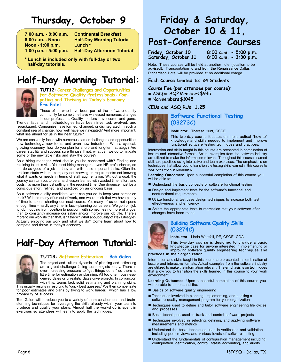# **Thursday, October 9**

**7:00 a.m. - 8:00 a.m. Continental Breakfast Noon - 1:00 p.m. Lunch \* 1:00 p.m. - 5:00 p.m. Half-Day Afternoon Tutorial**

**8:00 a.m. - Noon Half-Day Morning Tutorial**

**\* Lunch is included only with full-day or two half-day tutorials.**

# **Half-Day Morning Tutorial:**



**TUT12: Career Challenges and Opportunities for Software Quality Professionals: Competing and Thriving in Today's Economy - Eric Patel**

Those of us who have been part of the software quality community for some time have witnessed numerous changes in our profession. Quality leaders have come and gone.

Trends, fads, and methodologies have been invented, evolved, and repackaged. Companies have formed, changed, or disintegrated. In such a constant sea of change, how well have we navigated? And more important, what lies ahead for us in the near future?

We are constantly faced with numerous career challenges and opportunities: new technology, new tools, and even new industries. With a cyclical, growing economy, how do you plan for short- and long-term strategy? Are career stability and success sure things? If not, what can we do to mitigate some of the inevitable risks and stay the course?

As a hiring manager, what should you be concerned with? Finding and retaining talent is vital. Yet most hiring managers, even HR professionals, do not do as good of a job as they can with these important tasks. Often the problem starts with the company not knowing its requirements: not knowing what it wants or needs in terms of staff augmentation. Without a goal, the journey can turn out to be a hard lesson learned with wasted time, effort, and costs. It's more than just putting in the required time. Due diligence must be a conscious effort, refined, and practiced on an ongoing basis.

As a software quality candidate, what can you do to keep your career on track? With so many of us out of work, one would think that we have plenty of time to spend charting our next course. Yet many of us do not spend enough time – hardly any time, in fact – planning our careers. We go from job to job, hopping from position to position, with sometimes no more of a goal than to constantly increase our salary and/or improve our job title. There's more to our worklife than that, isn't there? What about quality of life? Lifestyle? Actually enjoying our work and what we do? Come learn about how to compete and thrive in today's economy.

# **Half-Day Afternoon Tutorial:**



#### **TUT13: Software Estimation - Bob Galen**

The project and cultural dynamics of planning and estimating are a great challenge facing technologists today. There is ever-increasing pressure to "get things done," so there is little time for estimation or planning. All too often, businessderived dates or unrealistic dates drive projects. In conjunction with this, teams lack solid estimating and planning skills.

This usually results in resorting to "quick best guesses." We then compensate for poor estimates and plans by trying to work harder, which has a low probability of success.

Tom Galen will introduce you to a variety of team collaboration and brainstorming techniques for leveraging the skills already within your team to produce and qualify your plans. Almost half the workshop is spent in exercises so attendees will learn to apply the techniques.

# **Friday & Saturday, October 10 & 11, Post-Conference Courses**

**Friday, October 10 8:00 a.m. - 5:00 p.m.** Saturday, October 11

Note: These courses will be held at another hotel (location to be advised). Transportation to and from the Renaissance Dallas Richardson Hotel will be provided at no additional charge.

#### **Each Course Limited to: 24 Students**

#### **Course Fee (per attendee per course):**

- ASQ or AQP Members \$945
- Nonmembers \$1045

#### **CEUs and ASQ RUs: 1.25**



### **Software Functional Testing (03273C)**

**Instructor:** Theresa Hunt, CSQE

This two-day course focuses on the practical "how-to" knowledge and skills needed to implement and improve functional software testing techniques and practices.

Information and skills taught in this course are presented in combination of lecture and interactive formats. Actual examples from the software industry are utilized to make the information relevant. Throughout this course, learned skills are practiced using interactive and team exercises. The emphasis is on techniques that allow you to transition the testing skills learned in this course to your own work environment.

**Learning Outcomes:** Upon successful completion of this course you will be able to:

- Understand the basic concepts of software functional testing
- Design and implement tests for the software's functional and nonfunctional requirements
- Utilize functional test case design techniques to increase both test effectiveness and efficiency
- Select the appropriate tests to regression test your software after changes have been made



### **Building Software Quality Skills (03274C)**

**Instructor:** Linda Westfall, PE, CSQE, CQA

This two-day course is designed to provide a basic knowledge base for anyone interested in implementing or improving software quality engineering techniques and practices in their organization.

Information and skills taught in this course are presented in combination of lecture and interactive formats. Actual examples from the software industry are utilized to make the information relevant. The emphasis is on techniques that allow you to transition the skills learned in this course to your work environment.

**Learning Outcomes:** Upon successful completion of this course you will be able to understand the:

- Basics of software quality engineering
- Techniques involved in planning, implementing, and auditing a software quality management program for your organization
- Techniques used to define and tailor software engineering life cycles and processes
- Basic techniques used to track and control software projects
- Techniques involved in selecting, defining, and applying software measurements and metrics
- Understand the basic techniques used in verification and validation including peer reviews and various levels of software testing
- Understand the fundamentals of configuration management including configuration identification, control, status accounting, and audits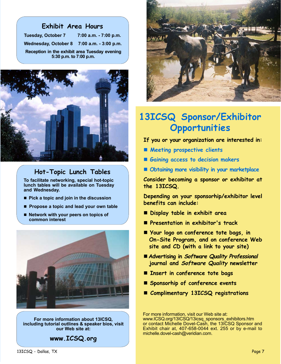| <b>Exhibit Area Hours</b>                                               |  |  |  |
|-------------------------------------------------------------------------|--|--|--|
| Tuesday, October 7 7:00 a.m. - 7:00 p.m.                                |  |  |  |
| Wednesday, October 8 7:00 a.m. - 3:00 p.m.                              |  |  |  |
| Reception in the exhibit area Tuesday evening<br>5:30 p.m. to 7:00 p.m. |  |  |  |



# **Hot-Topic Lunch Tables**

**To facilitate networking, special hot-topic lunch tables will be available on Tuesday and Wednesday.**

- **Pick a topic and join in the discussion**
- **Propose a topic and lead your own table**
- Network with your peers on topics of  **common interest**



**For more information about 13ICSQ, including tutorial outlines & speaker bios, visit our Web site at:**





# **13ICSQ Sponsor/Exhibitor Opportunities**

**If you or your organization are interested in:**

- **Meeting prospective clients**
- **Gaining access to decision makers**
- **Obtaining more visibility in your marketplace**

**Consider becoming a sponsor or exhibitor at the 13ICSQ.**

**Depending on your sponsorhip/exhibitor level benefits can include:**

- **Display table in exhibit area**
- **Presentation in exhibitor's track**
- **Your logo on conference tote bags, in On-Site Program, and on conference Web site and CD (with a link to your site)**
- **Advertising in Software Quality Professional journal and Software Quality newsletter**
- **Insert in conference tote bags**
- **Sponsorhip of conference events**
- **Complimentary 13ICSQ registrations**

For more information, visit our Web site at: www.ICSQ.org/13ICSQ/13icsq\_sponsors\_exhibitors.htm or contact Michelle Dovel-Cash, the 13ICSQ Sponsor and Exhibit chair at, 407-658-0044 ext. 255 or by e-mail to michelle.dovel-cash@veridian.com.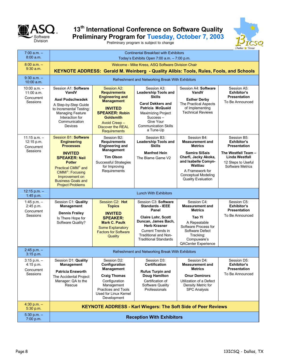

# **13th International Conference on Software Quality Preliminary Program for Tuesday, October 7, 2003**

Preliminary program is subject to change



| $7:00$ a.m. $-$<br>8:00 a.m.                               | <b>Continental Breakfast with Exhibitors</b><br>Today's Exhibits Open 7:00 $a.m. - 7:00$ p.m.                                                                                                                                                                         |                                                                                                                                                                                                                      |                                                                                                                                                                                                                      |                                                                                                                                                                                                                         |                                                                                                                                                    |
|------------------------------------------------------------|-----------------------------------------------------------------------------------------------------------------------------------------------------------------------------------------------------------------------------------------------------------------------|----------------------------------------------------------------------------------------------------------------------------------------------------------------------------------------------------------------------|----------------------------------------------------------------------------------------------------------------------------------------------------------------------------------------------------------------------|-------------------------------------------------------------------------------------------------------------------------------------------------------------------------------------------------------------------------|----------------------------------------------------------------------------------------------------------------------------------------------------|
| $8:00 a.m. -$<br>$9:30$ a.m.                               | Welcome - Mike Kress, ASQ Software Division Chair<br><b>KEYNOTE ADDRESS: Gerald M. Weinberg - Quality Alibis: Tools, Rules, Fools, and Schools</b>                                                                                                                    |                                                                                                                                                                                                                      |                                                                                                                                                                                                                      |                                                                                                                                                                                                                         |                                                                                                                                                    |
| $9:30$ a.m. $-$<br>10:00 a.m.                              | Refreshment and Networking Break With Exhibitors                                                                                                                                                                                                                      |                                                                                                                                                                                                                      |                                                                                                                                                                                                                      |                                                                                                                                                                                                                         |                                                                                                                                                    |
| $10:00$ a.m. $-$<br>$11:00$ a.m.<br>Concurrent<br>Sessions | Session A1: Software<br>VandV<br><b>Axel Podschwadek</b><br>A Step-by-Step Guide<br>to Incremental Testing:<br><b>Managing Feature</b><br>Interaction for<br>Communication<br>Devices                                                                                 | Session A2:<br><b>Requirements</b><br><b>Engineering and</b><br><b>Management</b><br><b>INVITED</b><br><b>SPEAKER: Robin</b><br><b>Goldsmith</b><br>Avoid Creep -<br><b>Discover the REAL</b><br><b>Requirements</b> | Session A3:<br><b>Leadership Tools and</b><br><b>Skills</b><br><b>Carol Dekkers and</b><br><b>Patricia McQuaid</b><br><b>Maximizing Project</b><br>Success-<br>Give Your<br><b>Communication Skills</b><br>a Tune-Up | Session A4: Software<br>VandV<br><b>Esther Derby</b><br><b>The Practical Aspects</b><br>of Implementing<br><b>Technical Reviews</b>                                                                                     | Session A5:<br>Exhibitor's<br><b>Presentation</b><br>To Be Announced                                                                               |
| $11:15$ a.m. $-$<br>12:15 p.m.<br>Concurrent<br>Sessions   | Session B1: Software<br><b>Engineering</b><br><b>Processes</b><br><b>INVITED</b><br><b>SPEAKER: Neil</b><br><b>Potter</b><br>Practical CMM <sup>®</sup> and<br>CMMI <sup>®</sup> : Focusing<br>Improvement on<br><b>Business Goals and</b><br><b>Project Problems</b> | Session B2:<br><b>Requirements</b><br><b>Engineering and</b><br>Management<br><b>Tim Olson</b><br><b>Successful Strategies</b><br>for Improving<br>Requirements                                                      | Session B3:<br><b>Leadership Tools and</b><br><b>Skills</b><br><b>Manfred Hein</b><br>The Blame Game V2                                                                                                              | Session B4:<br><b>Measurement and</b><br><b>Metrics</b><br><b>Samira SiSais</b><br>Cherfi, Jacky Akoka,<br>and Isabelle Comyn-<br><b>Wattiau</b><br>A Framework for<br><b>Conceptual Modeling</b><br>Quality Evaluation | Session B5:<br><b>Exhibitor's</b><br><b>Presentation</b><br>The Westfall Team -<br>Linda Westfall<br>12 Steps to Useful<br><b>Software Metrics</b> |
| $12:15 p.m. -$<br>1:45 p.m.                                |                                                                                                                                                                                                                                                                       |                                                                                                                                                                                                                      | <b>Lunch With Exhibitors</b>                                                                                                                                                                                         |                                                                                                                                                                                                                         |                                                                                                                                                    |
| 1:45 p.m. $-$<br>2:45 p.m.<br>Concurrent<br>Sessions       | Session C1: Quality<br><b>Management</b><br><b>Dennis Frailey</b><br>Is There Hope for<br>Software Quality?                                                                                                                                                           | Session C <sub>2</sub> : Hot<br><b>Topics</b><br><b>INVITED</b><br><b>SPEAKER:</b><br><b>Mark C. Paulk</b><br><b>Some Explanatory</b><br><b>Factors for Software</b><br>Quality                                      | Session C3: Software<br><b>Standards - IEEE</b><br>Panel<br><b>Claire Lohr, Scott</b><br>Duncan, James Bach,<br><b>Herb Krasner</b><br>Current Trends in<br>Traditional and Non-<br><b>Traditional Standards</b>     | Session C4:<br><b>Measurement and</b><br><b>Metrics</b><br>Tao Yi<br>A Repeatable<br>Software Process for<br>Software Defect<br>Tracking:<br>Compuware's<br>QACenter Experience                                         | Session C5:<br>Exhibitor's<br><b>Presentation</b><br>To Be Announced                                                                               |
| $2:45$ p.m. $-$<br>$3:15$ p.m.                             | Refreshment and Networking Break With Exhibitors                                                                                                                                                                                                                      |                                                                                                                                                                                                                      |                                                                                                                                                                                                                      |                                                                                                                                                                                                                         |                                                                                                                                                    |
| $3:15$ p.m. $-$<br>4:15 p.m.<br>Concurrent<br>Sessions     | Session D1: Quality<br>Management<br><b>Patricia Ensworth</b><br>The Accidental Project<br>Manager: QA to the<br>Rescue                                                                                                                                               | Session D2:<br>Configuration<br>Management<br><b>Craig Thomas</b><br>Configuration<br>Management<br>Practices and Tools<br>Used for Linux Kernel<br>Development                                                      | Session D3:<br>Certification<br><b>Rufus Turpin and</b><br>Doug Hamilton<br>Certification of<br>Software Quality<br>Professionals                                                                                    | Session D4:<br><b>Measurement and</b><br><b>Metrics</b><br><b>Onur Demirors</b><br>Utilization of a Defect<br>Density Metric for<br><b>SPC Analysis</b>                                                                 | Session D5:<br><b>Exhibitor's</b><br><b>Presentation</b><br>To Be Announced                                                                        |
| $4:30 p.m. -$<br>5:30 p.m.                                 | <b>KEYNOTE ADDRESS - Karl Wiegers: The Soft Side of Peer Reviews</b>                                                                                                                                                                                                  |                                                                                                                                                                                                                      |                                                                                                                                                                                                                      |                                                                                                                                                                                                                         |                                                                                                                                                    |
| $5:30 p.m. -$<br>7:00 p.m.                                 | <b>Reception With Exhibitors</b>                                                                                                                                                                                                                                      |                                                                                                                                                                                                                      |                                                                                                                                                                                                                      |                                                                                                                                                                                                                         |                                                                                                                                                    |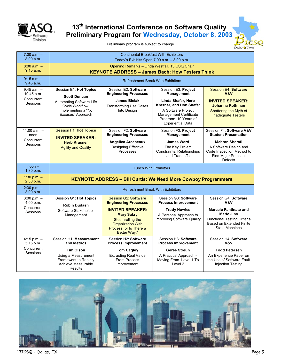

# **13th International Conference on Software Quality Preliminary Program for Wednesday, October 8, 2003**

Preliminary program is subject to change

| $7:00 a.m. -$<br>8:00 a.m.      | <b>Continental Breakfast With Exhibitors</b><br>Today's Exhibits Open 7:00 a.m. - 3:00 p.m.              |                                                                                                                                              |                                                                                                                                                          |                                                                                                                                                     |
|---------------------------------|----------------------------------------------------------------------------------------------------------|----------------------------------------------------------------------------------------------------------------------------------------------|----------------------------------------------------------------------------------------------------------------------------------------------------------|-----------------------------------------------------------------------------------------------------------------------------------------------------|
| $8:00 a.m. -$<br>$9:15$ a.m.    | Opening Remarks - Linda Westfall, 13ICSQ Chair<br><b>KEYNOTE ADDRESS - James Bach: How Testers Think</b> |                                                                                                                                              |                                                                                                                                                          |                                                                                                                                                     |
| $9:15$ a.m. $-$<br>9:45 a.m.    | <b>Refreshment Break With Exhibitors</b>                                                                 |                                                                                                                                              |                                                                                                                                                          |                                                                                                                                                     |
| $9:45$ a.m. $-$<br>$10:45$ a.m. | Session E1: Hot Topics<br><b>Scott Duncan</b>                                                            | Session E2: Software<br><b>Engineering Processes</b>                                                                                         | Session E3: Project<br><b>Management</b>                                                                                                                 | Session E4: Software<br>V&V                                                                                                                         |
| Concurrent<br>Sessions          | Automating Software Life<br>Cycle Workflow:<br>Implementing a "No<br>Excuses" Approach                   | <b>James Bielak</b><br><b>Transforming Use Cases</b><br>Into Design                                                                          | Linda Shafer, Herb<br>Krasner, and Don Shafer<br>A Software Project<br><b>Management Certificate</b><br>Program: 10 Years of<br><b>Experiential Data</b> | <b>INVITED SPEAKER:</b><br><b>Johanna Rothman</b><br>Shattering the Myth of<br><b>Inadequate Testers</b>                                            |
| $11:00 a.m. -$<br>noon          | <b>Session F1: Hot Topics</b><br><b>INVITED SPEAKER:</b>                                                 | Session F2: Software<br><b>Engineering Processes</b>                                                                                         | Session F3: Project<br><b>Management</b>                                                                                                                 | Session F4: Software V&V<br><b>Student Presentation</b>                                                                                             |
| Concurrent<br>Sessions          | <b>Herb Krasner</b><br><b>Agility and Quality</b>                                                        | <b>Angelica Arceneaux</b><br>Designing Effective<br>Processes                                                                                | <b>James Ward</b><br>The Key Project<br><b>Constraints: Relationships</b><br>and Tradeoffs                                                               | <b>Mehran Sharafi</b><br>A Software Design and<br>Code Inspection Method to<br><b>Find Major Potential</b><br>Defects                               |
| $noon -$<br>1:30 p.m.           | <b>Lunch With Exhibitors</b>                                                                             |                                                                                                                                              |                                                                                                                                                          |                                                                                                                                                     |
| 1:30 p.m. $-$<br>2:30 p.m.      |                                                                                                          |                                                                                                                                              | <b>KEYNOTE ADDRESS - Bill Curtis: We Need More Cowboy Programmers</b>                                                                                    |                                                                                                                                                     |
| $2:30 p.m. -$<br>3:00 p.m.      | <b>Refreshment Break With Exhibitors</b>                                                                 |                                                                                                                                              |                                                                                                                                                          |                                                                                                                                                     |
| $3:00 p.m. -$<br>$4:00$ p.m.    | Session G1: Hot Topics<br><b>Robin Dudash</b>                                                            | <b>Session G2: Software</b><br><b>Engineering Processes</b>                                                                                  | Session G3: Software<br><b>Process Improvement</b>                                                                                                       | Session G4: Software<br>V&V                                                                                                                         |
| Concurrent<br>Sessions          | Software Stakeholder<br>Management                                                                       | <b>INVITED SPEAKER:</b><br><b>Mary Sakry</b><br>Steamrolling the<br><b>Organization With</b><br>Process, or Is There a<br><b>Better Way?</b> | <b>Trudy Howles</b><br>A Personal Approach to<br>Improving Software Quality                                                                              | <b>Marcelo Fantinato and</b><br><b>Mario Jino</b><br><b>Functional Testing Criteria</b><br><b>Based on Extended Finite</b><br><b>State Machines</b> |
| $4:15$ p.m. $-$<br>5:15 p.m.    | Session H1: Measurement<br>and Metrics                                                                   | Session H2: Software<br><b>Process Improvement</b>                                                                                           | Session H3: Software<br><b>Process Improvement</b>                                                                                                       | Session H4: Software<br>V&V                                                                                                                         |
| Concurrent<br>Sessions          | <b>Tim Olson</b><br>Using a Measurement<br>Framework to Rapidly<br>Achieve Measurable<br>Results         | <b>Tom Cagley</b><br><b>Extracting Real Value</b><br><b>From Process</b><br>Improvement                                                      | <b>Geree Streun</b><br>A Practical Approach -<br>Moving From Level 1 To<br>Level <sub>2</sub>                                                            | <b>Todd Petersen</b><br>An Experience Paper on<br>the Use of Software Fault<br>Injection Testing                                                    |



13ICSQ - Dallas, TX Page 9

Dallas & Texa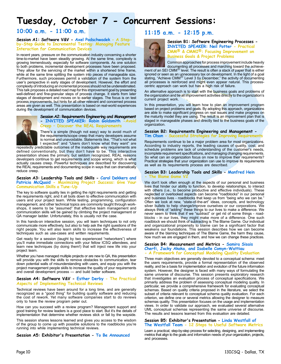# **Tuesday, October 7 - Concurrent Sessions:**

### **10:00 a.m. - 11:00 a.m.**

#### **Session A1: Software V&V - Axel Podschwadek - A Stepby-Step Guide to Incremental Testing: Managing Feature Interaction for Communication Devices**

In recent years, pressure on the communication industry concerning a shorter time-to-market have been steadily growing. At the same time, complexity is growing tremendously, especially for software components. As one solution to both problems, incremental development processes have been proposed. They allow for the servicing of the market within a shortened time frame, while at the same time splitting the system into pieces of manageable size. Furthermore, such processes permit a validation of the system from the user's perspective in early stages of development. However, the effort and complexity of introducing an incremental process should not be underestimated. This talk proposes a detailed road map for this improvement goal by presenting well-defined and fine-granular steps of process change. It starts from later stages of development and moves on to earlier stages. The focus is on test process improvements, but hints for all other relevant and concerned process areas are given as well. This presentation is based on real-world experiences during the development of communication devices.



#### **Session A2: Requirements Engineering and Management - INVITED SPEAKER: Robin Goldsmith -Avoid Creep – Discover the REAL Requirements**

There's a simple (though not easy) way to avoid much of the requirements/scope creep that many developers assume is normal and unavoidable. Statements like, "That's not what I expected" and "Users don't know what they want" are

repeatedly predictable outcomes of the inadequate way requirements are defined conventionally, but they don't have to be. This interactive presentation shows the primary, but seldom recognized, REAL reasons developers continue to get requirements and scope wrong, which is what actually causes creep. Powerful techniques are described for discovering the REAL requirements and documenting scope in ways that can dramatically reduce creep.

#### **Session A3: Leadership Tools and Skills - Carol Dekkers and Patricia McQuaid - Maximizing Project Success: Give Your Communication Skills a Tune-Up**

The key to software quality lies in getting the right requirements and getting the requirements right, and it all boils down to effective communication with users and your project team. While testing, programming, configuration management, and other technical topics are commonly taught through workshops, it seems to be "assumed" that effective team management and communication skills will be gained by climbing the project management or QA manager ladder. Unfortunately, this is usually not the case.

In this hands-on interactive session, you will learn techniques to not only communicate more effectively, but also to help ask the right questions of the right people. You will also learn skills to increase the effectiveness of techniques such as use-cases and written requirements.

Get ready for a session (taught by two experienced "networkers") where you'll make immediate connections with your fellow ICSQ attendees, and learn new techniques (by doing them!) that will inject new life into your project team.

Whether you have managed multiple projects or are new to QA, this presentation will provide you with the skills to remove obstacles to communication, tear down potential walls of misunderstanding with users, and equip you with the project management people skills to increase the quality of your requirements and overall development process — and build better software.

#### **Session A4: Software V&V - Esther Derby - The Practical Aspects of Implementing Technical Reviews**

Technical reviews have been around for a long time, and are generally recognized as a "good thing" for building quality software and reducing the cost of rework. Yet many software companies start to do reviews only to have the review program peter out.

How can you succeed with a review program? Management support and good training for review leaders is a good place to start. But it's the details of implementation that determine whether reviews stick or fall by the wayside.

This session shares lessons learned and gives you access to the wisdom of the group to come up with possible solutions to the roadblocks you're running into while implementing technical reviews.

#### **Session A5: Exhibitor's Presentation - To Be Announced**

### **11:15 a.m. - 12:15 p.m.**



#### **Session B1: Software Engineering Processes - INVITED SPEAKER: Neil Potter - Practical CMM & CMMI: Focusing Improvement on Business Goals & Project Problems**

Common approaches for process improvement include heavily documenting all processes and marching toward the achievement of an SEI CMM $<sup>®</sup>$  level. The result is often a stack of paper that is either</sup> ignored or seen as an unnecessary tax on development. In the light of a goal<br>stating, "Achieve CMM<sup>®</sup> Level 3 by December," the activity of documenting all processes is reinforced and might even appear natural. This processcentric approach can work but has a high risk of failure.

An alternative approach is to start with the business goals and problems of the organization and tie all improvement activities directly to the organization's current project work.

In this presentation, you will learn how to plan an improvement program based on project problems and goals. By adopting this approach, organizations are able to make significant progress on real issues and make progress on the maturity model they are using. The result is an improvement plan that is staged in manageable phases and directly tied to the business goals of the organization.

# **Session B2: Requirements Engineering and Management -**

**Tim Olson - Successful Strategies for Improving Requirements**

Requirements continue to be a major problem area for most organizations. According to industry reports, the leading causes of quality, cost, and schedule problems are lack of understanding of the customer's needs, incomplete requirement specifications, and managing changing requirements. So what can an organization focus on now to improve their requirements? Practical strategies that your organization can use to improve its requirements as well as its requirements process are described.

#### **Session B3: Leadership Tools and Skills - Manfred Hein - The Blame Game V2**

We don't look often enough at the aspects of our personal and business lives that hinder our ability to function, to develop relationships, to interact with others (i.e., to become productive and effective individuals). These neglected or overlooked aspects can become "roadblocks" in our personal and business lives - roadblocks that keep us from "being who we can be." Often we look at new, "state-of-the-art" ideas, concepts, and technology silver bullets to help change/improve ourselves or our corporations. We always think of "adding" these things to our lives to make a difference. We never seem to think that if we "subtract" or get rid of some things - roadblocks - in our lives, they might make more of a difference. One such roadblock we should think of subtracting is The Blame Game. Our individual and organizational propensity to blame can be a significant factor that weakens our foundations. This session describes how we can become aware of the blaming techniques of The Blame Game, the harm they cause, how much we are engaged in them, and how we can change these practices.

#### **Session B4: Measurement and Metrics - Samira Sisais Cherfi, Jacky Akoka, and Isabelle Comyn-Wattiau - A Framework for Conceptual Modeling Quality Evaluation**

Three main objectives are generally devoted to a conceptual schema: meet the users requirements, provide a formal representation of the observed reality, and be a basis for implementation and evolution of the future information system. However, the designer is faced with many ways of formulating the same universe of discourse. This session presents exploratory research that investigates an evaluation process of conceptual specifications. We primarily address the problem of assessing conceptual modeling quality. In particular, we provide a comprehensive framework for evaluating conceptual schemas. Based on quality criteria proposed in the literature, we select the subset of criteria relevant to conceptual schema quality evaluation. For each criterion, we define one or several metrics allowing the designer to measure schemas quality. This presentation focuses on the usage and implementation views. In order to validate our approach, we evaluated several alternative UML conceptual schemas representing the same universe of discourse. The results and lessons learned from this evaluation are detailed.

#### **Session B5: Exhibitor's Presentation - Linda Westfall of The Westfall Team - 12 Steps to Useful Software Metrics**

Learn a practical, step-by-step process for selecting, designing, and implementing metrics that align to the goals and information needs of your organization, projects, and processes.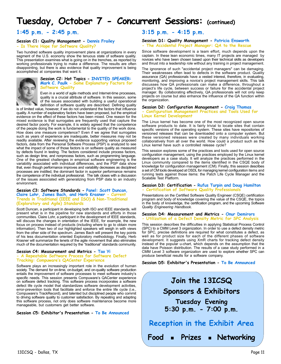# **Tuesday, October 7 - Concurrent Sessions: (continued)**

### **1:45 p.m. - 2:45 p.m.**

#### **Session C1: Quality Management - Dennis Frailey - Is There Hope for Software Quality?**

Two hundred software quality improvement plans at organizations in every segment of the U.S. economy show the tenuous state of software quality. This presentation examines what is going on in the trenches, as reported by working professionals trying to make a difference. The results are often disappointing, but there is also evidence that quality improvement is being accomplished at companies that want it.



#### **Session C2: Hot Topics - INVITED SPEAKER: Mark C. Paulk - Some Explanatory Factors for Software Quality**

Even in a world of agile methods and Internet-time processes, quality is a crucial attribute of software. In this session, some of the issues associated with building a useful operational definition of software quality are described. Defining quality

is of limited value, however, if we do not understand the factors that influence quality. A number of explanatory factors have been proposed, but the empirical evidence on the effect of these factors has been mixed. One reason for the mixed evidence is that surrogates are frequently used that capture the desired factor poorly. For example, it is widely agreed that the competence of the people doing the work is fundamental to the quality of the work done. How does one measure competence? Even if we agree that surrogates such as years of experience are inadequate, better measures may not be readily available. After reviewing the evidence supporting various proposed factors, data from the Personal Software Process (PSP) is analyzed to see what the impact of some of those factors is on software quality as measured by defects found in testing. The factors considered include process factors, such as design time, and nonprocess factors, such as programming language. One of the greatest challenges in empirical software engineering is the variability associated with individual differences, and the PSP data show that, even though performance improves and variability decreases as disciplined processes are instilled, the dominant factor in superior performance remains the competence of the individual professional. The talk closes with a discussion of the issues associated with generalizing from PSP data to an industry environment.

#### **Session C3: Software Standards - Panel: Scott Duncan, Claire Lohr, James Bach, and Herb Krasner - Current Trends in Traditional (IEEE and ISO) & Non-Traditional (Exploratory and Agile) Standards**

Scott Duncan, a participant in developing both ISO and IEEE standards, will present what is in the pipeline for new standards and efforts in those communities. Claire Lohr, a participant in the development of IEEE standards, will discuss the changes in orientation of the IEEE, for example, the new focus on process instead of products (including where to go to obtain more information). Then two of our highlighted speakers will weigh in with views from the other side of the spectrum. James Bach will present the key points of his less documentation oriented Exploratory methodology. Finally, Herb Krasner will summarize the tenets of the agile movement that also eliminates much of the documentation required by the "traditional" standards community.

#### **Session C4: Measurement and Metrics - Tao Yi - A Repeatable Software Process for Software Defect Tracking: Compuware's QACenter Experience**

Software plays an increasingly important role in the evolution of human society. The demand for on-time, on-budget, and on-quality software production entails the improvement of software processes to meet software industry's specific needs. This session presents Compuware's QACenter experience on software defect tracking. This software process incorporates a software defect life cycle model that standardizes software development activities, error-prevention tools that facilitate and enforce the entire life cycle (i.e., Compuware's TrackRecord), and talented but disciplined people who commit to driving software quality to customer satisfaction. By repeating and adapting this software process, not only does software maintenance become more manageable, but customers get better software.

#### **Session C5: Exhibitor's Presentation - To Be Announced**

### **3:15 p.m. - 4:15 p.m.**

#### **Session D1: Quality Management - Patricia Ensworth - The Accidental Project Manager: QA to the Rescue**

Since software development is a team effort, much depends upon the captain. In these lean economic times, many IT projects are managed by novices who have been chosen based upon their technical skills as developers and thrust into a leadership role without any training in project management.

The ignorance of such "accidental project managers" can be damaging. Their weaknesses often lead to defects in the software product. Quality assurance (QA) professionals have a vested interest, therefore, in evaluating, monitoring, and improving a novice's project management skills. This talk discusses how QA professionals can make a difference, throughout a project's life cycle, between success or failure for the accidental project manager. By collaborating effectively, QA professionals will not only keep projects on course but also enhance the influence of the QA function within the organization.

#### **Session D2: Configuration Management - Craig Thomas - Configuration Management Practices and Tools Used for Linux Kernel Development**

The Linux kernel has become one of the most recognized open source software products to date. It is fairly trivial to locate sites that contain specific versions of the operating system. These sites have repositories of versioned releases that can be downloaded onto a computer system. But these versioned releases were created by many individuals working collaboratively from all over the world. How could a product such as the Linux kernel have such a controlled release cycle?

This session explores some of the practices and tools used for open source configuration management, using the practices employed by the Linux kernel developers as a case study. It will analyze the practices performed in the Linux community compared to the items identified in the CSQE body of knowledge for configuration management (CM). Finally, this session describes a set of CM tools developed at OSDL for managing kernel configuration items and running tests against those items: the Patch Life Cycle Manager and the Scalable Test Platform.

#### **Session D3: Certification - Rufus Turpin and Doug Hamilton - Certification of Software Quality Professionals**

Presentations on the Certified Software Quality Engineer (CSQE) certification program and body of knowledge covering the value of the CSQE, the topics in the body of knowledge, the certification program, and the upcoming *Software Quality Engineering Handbook*.

#### **Session D4: Measurement and Metrics - Onur Demirors - Utilization of a Defect Density Metric for SPC Analysis**

This session describes the difficulties in applying Statistical Process Control (SPC) to a CMM Level 3 organization. In order to use a defect density metric for SPC, precise definitions are required for what constitutes a defect, as well as for product size for each of the different phases of software development. It suggests using XmR charts for tracking defect density instead of the popular u-chart, which depends on the assumption that the data have Poisson distribution. The results of a case study performed in a CMM Level 3 software organization are used to explore whether SPC can produce beneficial results for a software company.

**Session D5: Exhibitor's Presentation - To Be Announced**

# **Join the 13ICSQ Sponsors & Exhibitors Tuesday Evening 5:30 p.m. - 7:00 p.m. Reception in the Exhibit Area**

**Food Prizes Networking**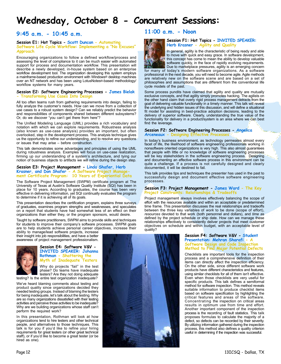# **Wednesday, October 8 - Concurrent Sessions:**

### **9:45 a.m. - 10:45 a.m.**

#### **Session E1: Hot Topics - Scott Duncan - Automating Software Life Cycle Workflow: Implementing a "No Excuses" Approach**

Encouraging organizations to follow a defined workflow/process and assessing the level of compliance to it can be much easier with automated support for process and documentation workflow. This presentation will describe a newly developed, in-house system based on an enterprise workflow development tool. The organization developing this system employs a mainframe-based production environment with Windows® desktop machines over an NT network and has been using LotusNotes®-based methodology/ workflow systems for many years.

#### **Session E2: Software Engineering Processes - James Bielak - Transforming Use Cases Into Design**

All too often teams rush from gathering requirements into design, failing to fully analyze the customer's needs. How can we move from a collection of use cases to a robust system design? Can we reliably predict the behavior and responsibilities of components shared between different subsystems? Or, do we discover "you can't get there from here"?

The Unified Modeling Language (UML) provides a rich vocabulary and notation with which we can explore requirements. Robustness analysis (also known as use-case analysis) provides an important, but often overlooked, step in the development process. This analysis technique gives us the opportunity to refine our understanding, and to resolve any questions or issues that may arise – before construction.

This talk demonstrates some advantages and principles of using the UML during robustness analysis. Examples will focus on use-case realization, firming up our understanding of a system's architecture, and tying our notion of business objects to artifacts we will refine during the design step.

#### **Session E3: Project Management - Linda Shafer, Herb Krasner, and Don Shafer - A Software Project Management Certificate Program: 10 Years of Experiential Data**

The Software Project Management (SWPM) certificate program at The University of Texas at Austin's Software Quality Institute (SQI) has been in place for 10 years. According to graduates, the course has been very effective in delivering information, yet SQI continually evaluates the program to determine if it is achieving all of its goals.

This presentation describes the certification program, explains three surveys of graduates, examines program strengths and weaknesses, and speculates on a report that students have had somewhat less of an effect on their organizations than either they, or the program sponsors, would desire.

Taught by software practitioners, SWPM aims to provide skills and techniques for students to improve their company's software processes. SWPM goals are to help students achieve personal career objectives, increase their

ability to manage/lead software projects, increase their insight into job responsibilities, and have a better awareness of project management professionalism.



#### **Session E4: Software V&V - INVITED SPEAKER: Johanna Rothman - Shattering the Myth of Inadequate Testers**

Why do projects "fail" in the test phase? Do teams have inadequate testers? Are they not doing adequate

testing? Is the entire test organization inadequate?

We've heard blaming comments about testing and product quality since organizations decided they needed testing groups. Instead of blaming the testers for being inadequate, let's talk about the testing. Why are so many organizations dissatisfied with their testing activities and perceive those activities to be inadequate? Why are we building organizations whose staff can't perform the required work?

In this presentation, Rothman will look at how organizations tend to hire testers and other technical people, and alternatives to those techniques. This talk is for you if you'd like to refine your hiring requirements for great testers (or other great technical staff), or if you'd like to become a great tester (or be hired as one).

### **11:00 a.m. - Noon**



**Session F1: Hot Topics - INVITED SPEAKER: Herb Krasner - Agility and Quality**

In general, agility is the characteristic of being ready and able to move with quick and easy grace. In software development, this concept has come to mean the ability to develop valuable software quickly, in the face of rapidly evolving requirements. Due to marketplace pressures, agility is an emerging concern

for many of today's modern software organizations. As a software professional in the next decade, you will need to become agile. Agile methods are relatively new on the software scene and are based on a set of philosophies and assumptions that are different from the conventional life cycle models of the past.

Some process pundits have claimed that agility and quality are mutually exclusive concepts, and that agility simply promotes hacking. The agilists on the other hand claim that overly rigid process management detracts from the goal of delivering valuable functionality in a timely manner. This talk will reveal the underlying and hidden issues of this discussion, and will define a situational fit model for assisting in best-practice adoption decisions, leading to the delivery of superior software. Clearly, understanding the true value of the functionality for delivery in a product/system is an area where we can best find the leverage.

### **Session F2: Software Engineering Processes - Angelica**

**Arceneaux - Designing Effective** 

In today's business environment, as technology permeates almost every facet of life, the likelihood of software engineering professionals working in nonsoftware oriented organizations is very high. This also almost guarantees that people with little or no knowledge of software engineering processes will be key stakeholders in the software engineering process. Designing and documenting an effective software process in this environment can be quite a challenge. If a process is not carefully designed and clearly documented, it will be destined to fail.

This talk provides tips and techniques the presenter has used in the past to successfully design and document effective software engineering processes.

#### **Session F3: Project Management - James Ward - The Key Project Constraints: Relationships & Tradeoffs**

Project management always involves effectively balancing the scope of effort with the resources available and within an acceptable or predetermined time frame. This presentation discusses the real relationships and tradeoffs between the three key variables of *work* to be done (scope of effort), *resources* devoted to that work (both personnel and dollars), and *time* as defined by the project schedule or ship date. How can we manage these relationships effectively to consistently deliver projects that meet customer objectives on schedule and within budget, with an acceptable level of quality?

#### **Session F4: Software V&V - Student Presentation: Mehran Sharafi - A Software Design and Code Inspection Method to Find Major Potential Defects**

Checklists are important tools for the inspection process and a comprehensive definition of their items can directly affect the inspection efficiency. On the other side, since different software work products have different characteristics and features, using similar checklists for all of them isn't effective. Even when those checklists are very useful for specific products. This talk defines a semiformal method for software inspection. This method reveals suitable information to produce checklist items based on software specification by highlighting the critical features and areas of the software. Concentrating the inspection on critical areas results in optimum use from time and effort. Another important component of the inspection process is the recording of fault statistics. This talk proposes formulas to calculate the majority of a defect, so defects can be recorded by their severity. By utilizing information gathered during the inspection process, this method also defines a quality criterion useful in determining if the inspection was successful.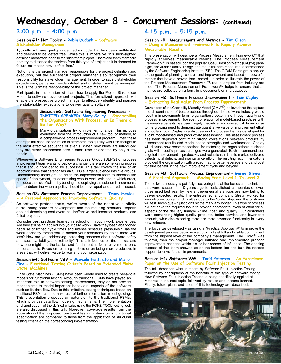# **Wednesday, October 8 - Concurrent Sessions: (continued)**

### **3:00 p.m. - 4:00 p.m.**

#### **Session G1: Hot Topics - Robin Dudash - Software Stakeholder Management**

Typically software quality is defined as code that has been well-tested and deemed to be 'defect free.' While this is imperative, this short-sighted definition most often leads to the 'nightmare project.' Users and team members both try to distance themselves from this type of project as it is doomed for failure no matter how 'defect free.'

Not only is the project manager responsible for the project definition and execution, but the successful project manager also recognizes their responsibility for stakeholder management. In order to satisfy stakeholder expectations, perceived needs (stated and unstated) must be managed. This is the ultimate responsibility of the project manager.

Participants in this session will learn how to apply the Project Stakeholder Model to software development projects. This formalized approach will enable the prospective project manager to effectively identify and manage the stakeholder expectations to deliver quality software.



#### **Session G2: Software Engineering Processes - INVITED SPEAKER: Mary Sakry - Steamrolling the Organization With Process, or Is There a Better Way?**

Many organizations try to implement change. This includes everything from the introduction of a new tool or method, to

a companywide process improvement program. Often these attempts fail because too much is attempted too quickly with little thought to the most effective sequence of events. When new ideas are introduced they are either abandoned after a short time or adopted by only a few people.

Whenever a Software Engineering Process Group (SEPG) or process improvement team wants to deploy a change, there are some key principles that it should consider to be successful. This talk covers the use of an adoption curve that categorizes an SEPG's target audience into five groups. Understanding these groups helps the improvement team to increase the speed of deployment, by determining who to work with and in which order, to reduce the risk of failure by building and deploying the solution in increments, and to determine when a policy should be developed and an edict issued.

#### **Session G3: Software Process Improvement - Trudy Howles - A Personal Approach to Improving Software Quality**

As software professionals, we're aware of the negative publicity surrounding software development and the resulting products. Reports abound describing cost overruns, ineffective and incorrect products, and failed projects.

Consider best practices learned in school or through work experiences. Are they still being applied into your daily work? Have they been abandoned because of limited cycle times and intense schedule pressures? Has the weak economy forced you to stretch your resources by doing more with less? How are you addressing increasing concerns about software safety and security, liability, and reliability? This talk focuses on the basics, and how one might use the basics and fundamentals for improvements on a personal basis. Focus on reducing defects or on being more productive in areas that will deliver value to you and your organization.

#### **Session G4: Software V&V - Marcelo Fantinato and Mario Jino - Functional Testing Criteria Based on Extended Finite State Machines**

Finite State Machines (FSMs) have been widely used to create behavioral models for functional testing. Although traditional FSMs have played an important role in software testing improvement, they do not provide mechanisms to model important behavioral aspects of the software such as its data flow. Due to this limitation, testing techniques based on traditional FSMs cannot make use of further information in test guiding. This presentation proposes an extension to the traditional FSMs, which provides data flow modeling mechanisms. The implementation and application of the defined criteria, using the POKE-TOOL testing tool, are also discussed in this talk. Moreover, coverage results from the application of the proposed functional testing criteria on a functional specification are compared to those from the application of structural testing criteria on the corresponding implementation.

### **4:15 p.m. - 5:15 p.m.**

#### **Session H1: Measurement and Metrics - Tim Olson - Using a Measurement Framework to Rapidly Achieve Measurable Results**

This presentation will describe a Process Measurement Framework<sup>SM</sup> that rapidly achieves measurable results. The Process Measurement FrameworkSM is based upon the popular Goal/Question/Metric (G/Q/M) paradigm, the Juran Quality Trilogy, and the initial core measures recommended by the Software Engineering Institute (SEI). The G/Q/M Paradigm is applied to the goals of planning, control, and improvement and based on powerful metrics that have a proven track record. In order to illustrate the power of the Process Measurement Framework<sup>sm</sup>, real examples from industry are used. The Process Measurement Framework<sup>SM</sup> helps to ensure that all metrics are collected on a form, in a document, or in a database.

#### **Session H2: Software Process Improvement - Tom Cagley - Extracting Real Value From Process Improvement**

Developers of the Capability Maturity Model (CMM $<sup>(B)</sup>$ ) believed that the capture</sup> and dissemination of best practices throughout the software industry would result in improvements to an organization's bottom line through quality and process improvement. However, correlation of model-based practices with measurable benefits has been largely theoretical and conceptual. In response to the growing need to demonstrate quantitative value of improvement effort and dollars. Join Cagley in a discussion of a process he has developed for a joint model-based and productivity assessment. This assessment process has been deployed confirming strong correlations between productivity assessment results and model-based strengths and weaknesses. Cagley will discuss how recommendations for matching the organization's business goals with specific process changes were generated. Each recommendation targeted improvement in productivity and reductions in time to market, delivered defects, total defects, and maintenance effort. The resulting recommendations provided the organization with a road map to better leverage effort and cost for true benefit in the next improvement cycle and beyond.

#### **Session H3: Software Process Improvement- Geree Streun - A Practical Approach - Moving From Level 1 To Level 2**

The software industry is painfully discovering is that the tactics and techniques that were successful 10 years ago for established companies or even those used last year by new entrepreneurial start-ups are now failing to deliver expected results. The entrepreneurial company Streun worked for was also encountering difficulties due to the "code, ship, and the customer will test" technique - it just didn't hit the mark any longer. This type of process did not have the required focus to provide appropriate levels of effort for all aspects of the delivery triangle - time, cost, and quality. Our customers were demanding higher quality products, better service, and lower cost products, while also expecting more and more advanced functionality in every new release.

The focus we developed was using a "Practical Approach©" to improve the development process because we could not get full and visible commitment from the highest level of the company's management. The CMM $^{\circledR}$  was tailored, then the project manager initiated and implemented process improvement changes within his or her sphere of influence. The ongoing success of that team showed up on the bottom line and built the needed support to drive further improvements.

#### **Session H4: Software V&V - Todd Petersen - An Experience Paper on the Use of Software Fault Injection Testing**

The talk describes what is meant by Software Fault Injection Testing, followed by descriptions of the benefits of this type of software testing. How Software Fault Injection Testing is being specifically applied at Motorola is the next topic, followed by results and lessons learned. Finally, future plans and uses of this technology are described.

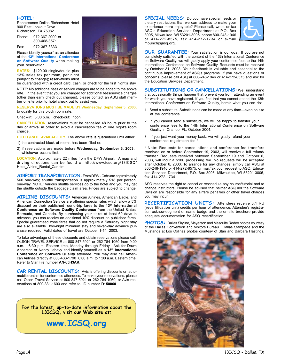#### **HOTEL:**

Renaissance Dallas-Richardson Hotel 900 East Lookout Drive Richardson, TX 75082

Phone: 972-367-2000 or 800-468-3571

Fax: 972-367-3333

Please identify yourself as an attendee of the **13th International Conference on Software Quality** when making your reservation.

**RATES:** \$129.00 single/double plus 13% sales tax per room, per night (subject to change); reservations must

be guaranteed with a credit card, cash, or check for the first night's stay.

NOTE: No additional fees or service charges are to be added to the above rate. In the event that you are charged for additional fees/service charges (other than early check out charges), please contact an ASQ staff member on-site prior to hotel check out to assist you.

**RESERVATIONS MUST BE MADE BY Wednesday, September 3, 2003,** to qualify for this block room rate.

Check-in: 3:00 p.m. check-out: noon

**CANCELLATION**: reservations must be cancelled 48 hours prior to the day of arrival in order to avoid a cancellation fee of one night's room charge.

**HOTEL/RATE AVAILABILITY**: The above rate is guaranteed until either:

1) the contracted block of rooms has been filled or,

2) if reservations are made before **Wednesday, September 3, 2003**, whichever occurs first.

**LOCATION**: Approximately 22 miles from the DFW Airport. A map and driving directions can be found at http://www.icsq.org/13ICSQ/ Hotel\_Airline\_Rental\_Car.htm

**AIRPORT TRANSPORTATION:** From DFW - Cabs are approximately \$60 one-way; shuttle transportation is approximately \$18 per person, one-way. NOTE: Various shuttle services go to the hotel and you may get the shuttle outside the baggage claim area. Prices are subject to change.

**AIRLINE DISCOUNTS:** American Airlines, American Eagle, and American Connection Service are offering special rates which allow a 5% discount on their published round-trip fares to the 13<sup>th</sup> International **Conference on Software Quality Conference** from the United States, Bermuda, and Canada. By purchasing your ticket at least 60 days in advance, you can receive an additional 10% discount on published fares. Special guaranteed zone fares that do not require a Saturday night stay are also available. Two-night minimum stay and seven-day advance purchase required. Valid dates of travel are October 1-14, 2003.

To take advantage of these discounts and obtain reservations please call: OLSON TRAVEL SERVICE at 800-847-5921 or 262-784-1060 from 9:00 a.m. - 6:30 p.m. Eastern time, Monday through Friday. Ask for Dawn Anderson or Nancy Jebavy and identify yourself as a **13th International Conference on Software Quality** attendee. You may also call American Airlines directly at 800-433-1790 6:00 a.m. to 1:00 a.m. Eastern time. Refer to Star File number **AN-65H3AK**.

**CAR RENTAL DISCOUNTS:** Avis is offering discounts on automobile rentals for conference attendees. To make your reservations, please call Olson Travel Service at 800-847-5921 or 262-784-1060; or Avis reservations at 800-331-1600 and refer to: ID number **D150060**.

**For the latest, up-to-date information about the 13ICSQ, visit our Web site at:**

**www.ICSQ.org**



**SPECIAL NEEDS:** Do you have special needs or dietary restrictions that we can address to make your experience more enjoyable? Please call, write, or fax ASQ's Education Services Department at P.O. Box 3005, Milwaukee, WI 53201-3005, phone 800-248-1946 or 414-272-8575, fax 414-272-1734 or e-mail mbunch@asq.org.



**OUR GUARANTEE:** Your satisfaction is our goal. If you are not completely satisfied with the content of the 13th International Conference on Software Quality, we will gladly apply your conference fees to the 14th International Conference on Software Quality. Requests must be received by October 31, 2003. Your feedback is valuable and essential to the continuous improvement of ASQ's programs. If you have questions or concerns, please call ASQ at 800-248-1946 or 414-272-8575 and ask for the Education Services Department.

**SUBSTITUTIONS OR CANCELLATIONS:** We understand that occasionally things happen that prevent you from attending an event for which you have registered. If you find that you cannot attend the 13th International Conference on Software Quality, here's what you can do:

- 1. Send a substitute. Substitutions can be made at any time—even on site at the conference.
- 2. If you cannot send a substitute, we will be happy to transfer your conference fees to the 14th International Conference on Software Quality in Orlando, FL, October 2004.
- 3. If you just want your money back, we will gladly refund your conference registration fee.\*

\* Note: Requests for cancellations and conference fee transfers received on or before September 19, 2003, will receive a full refund/ transfer. Requests received between September 19 and October 6, 2003, will incur a \$100 processing fee. No requests will be accepted after October 6, 2003. To arrange for any changes, simply call ASQ at 800-248-1946 or 414-272-8575, or mail/fax your request to ASQ, Education Services Department, P.O. Box 3005, Milwaukee, WI 53201-3005, fax 414-272-1734.

ASQ reserves the right to cancel or reschedule any course/tutorial and to change instructors. Please be advised that neither ASQ nor the Software Division are responsible for any airfare penalties or other travel charges you may incur.

**RECERTIFICATION UNITS:** Attendees receive 0.1 RU (recertification unit) credits per hour of attendence. Attendee's registration acknowledgment or name badge and the on-site brochure provide adequate documentation for ASQ recertification.

**PHOTOS:** Dallas Skyline, Meyerson and Mesquite Rodeo photos courtesy of the Dallas Convention and Visitors Bureau. Dallas Stampede and the Mustangs at Los Colinas photos courtesy of Stan and Barbara Hastings.

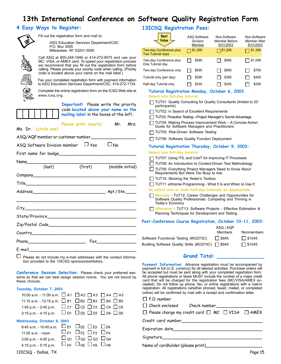# **13th International Conference on Software Quality Registration Form**

### **4 Easy Ways to Register:**



Fill out the registration form and mail to:

ASQ Education Services Department/CSC P.O. Box 3005

Milwaukee, WI 53201-3005

Call ASQ at 800-248-1946 or 414-272-8575 and use your MC, VISA, or AMEX card. To speed your registration process we recommend that you fill out the registration form before calling. Please provide your priority code when calling. (Priority code is located above your name on the mail label.)

Fax your completed registration form with payment information to ASQ Education Services Department/CSC, 414-272-1734.

Complete the online registration form on the ICSQ Web site at www.icsq.org.



**Important!** Please write the priority code **located above your name on the**

**mailing label** in the boxes at the left.

Please print clearly! Mr. Mrs.

#### Ms. Dr. **(circle one)**

| ASQ/AQP member or customer number                                                                              |  |                                            |  |  |  |
|----------------------------------------------------------------------------------------------------------------|--|--------------------------------------------|--|--|--|
| ASQ Software Division member $\Box$ Yes<br>$\Box$ No                                                           |  |                                            |  |  |  |
|                                                                                                                |  |                                            |  |  |  |
|                                                                                                                |  |                                            |  |  |  |
|                                                                                                                |  | (middle initial)                           |  |  |  |
|                                                                                                                |  |                                            |  |  |  |
|                                                                                                                |  |                                            |  |  |  |
|                                                                                                                |  |                                            |  |  |  |
|                                                                                                                |  |                                            |  |  |  |
|                                                                                                                |  |                                            |  |  |  |
|                                                                                                                |  |                                            |  |  |  |
|                                                                                                                |  |                                            |  |  |  |
|                                                                                                                |  | $\mathsf{Fax}$ . The set of $\mathsf{Fax}$ |  |  |  |
| E-mail and the contract of the contract of the contract of the contract of the contract of the contract of the |  |                                            |  |  |  |

 $\Box$ Please do not include my e-mail addresses with the contact information provided to the 13ICSQ sponsors/exhibitors.

**Conference Session Selection:** Please check your preferred sessions so that we can best assign session rooms. You are not bound by these choices.

#### **Tuesday, October 7, 2003**

| 10:00 a.m. - 11:00 a.m. 4 A1 A2 A2 A3 A4 A5                               |                                                   |  |
|---------------------------------------------------------------------------|---------------------------------------------------|--|
| 11:15 a.m. - 12:15 p.m. $\Box$ B1 $\Box$ B2 $\Box$ B3 $\Box$ B4 $\Box$ B5 |                                                   |  |
| 1:45 p.m. - 2:45 p.m.                                                     | $\Box$ c1 $\Box$ c2 $\Box$ c3 $\Box$ c4 $\Box$ c5 |  |
| 3:15 p.m. - 4:15 p.m. $\Box$ D1 $\Box$ D2 $\Box$ D3 $\Box$ D4 $\Box$ D5   |                                                   |  |
| Wednesday, October 8, 2003                                                |                                                   |  |
| 9:45 a.m. - 10:45 a.m.                                                    | $\Box$ E1 $\Box$ E2 $\Box$ E3 $\Box$ E4           |  |
| 11:00 a.m. - noon                                                         | $\Box$ F1 $\Box$ F2 $\Box$ F3 $\Box$ F4           |  |
| $3:00$ p.m. $-4:00$ p.m.                                                  | $\Box$ G1 $\Box$ G2 $\Box$ G3 $\Box$ G4           |  |
| 4:15 p.m. - 5:15 p.m.                                                     |                                                   |  |
|                                                                           |                                                   |  |

### **13ICSQ Registration Fees:**

| <b>Best</b><br>Value                                       | <b>ASQ Software</b><br>Division<br>Member | Non-Software<br>Member Before<br>8/31/2003 | Non-Software<br>Member After<br>8/31/2003 |
|------------------------------------------------------------|-------------------------------------------|--------------------------------------------|-------------------------------------------|
| <b>Two-day Conference plus</b><br><b>Two Tutorial days</b> | \$1,295                                   | \$1,295                                    | \$1,395                                   |
| Two-day Conference plus<br>One Tutorial day                | \$995                                     | \$995                                      | \$1,095                                   |
| Two-day Conference only                                    | \$695                                     | \$695                                      | \$795                                     |
| Tutorial only (per day)                                    | \$395                                     | \$395                                      | \$495                                     |
| Half-day Tutorial only                                     | \$245                                     | \$245                                      | \$295                                     |
| .                                                          |                                           | .                                          |                                           |

**Tutorial Registration Monday, October 6, 2003 Select one full-day tutorial.**

- TUT01: Quality Consulting for Quality Consultants (limited to 20
- participants) TUT02: In Search of Excellent Requirements
- TUT03: Proactive Testing—Project Manager's Secret Advantage
- TUT04: Making Process Improvement Work A Concise Action Guide for Software Managers and Practitioners
- TUT05: Risk-Driven Software Testing
- TUT06: Software Quality Function Deployment

#### **Tutorial Registration Thursday, October 9, 2003: Select one full-day tutorial.**

- 
- T TUT07: Using ITIL and CobiT for Improving IT Processes
- TUT08: An Introduction to Context-Driven Test Methodology TUT09: Everything Project Managers Need to Know About Requirements But Were Too Busy to Ask
- $\Box$  TUT10: Stocking the Tester's Toolbox
- TUT11: eXtreme Programming What It Is and When to Use It
- **Or select one or both half-day tutorials as appropriate.**
- **Morning** TUT12: Career Challenges and Opportunities for Software Quality Professionals: Competing and Thriving in Today's Economy
- **Afternoon** TUT13: Software Projects Effective Estimation & Planning Techniques for Development and Testing

#### **Post-Conference Course Registration, October 10-11, 2003:**

|                                                    | ASO / AOP    |               |
|----------------------------------------------------|--------------|---------------|
|                                                    | Members      | Nonmembers    |
| Software Functional Testing (#03273C)              | $\Box$ \$945 | $\Box$ \$1045 |
| Buidling Software Quality Skills (#03274C) □ \$945 |              | $\Box$ \$1045 |

#### **Grand Total: \_\_\_\_\_\_\_\_\_\_\_\_\_\_\_**

**Payment Information:** Advance registration must be accompanied by payment in full (U.S. currency) for all desired activities. Purchase orders will be accepted but must be sent along with your completed registration form. All phone registrations or faxes MUST include the number of a major credit card that will be charged for the registration fees (MC/VISA/AMEX accepted). Do not follow up phone, fax, or online registrations with a mail-in registration. All registrations (whether phoned, faxed, mailed, or completed online) will be confirmed by mail with a receipt and confirmation letter.

| $\Box$ P.O. number                |                                                                       |  |
|-----------------------------------|-----------------------------------------------------------------------|--|
|                                   | Check enclosed Check number                                           |  |
|                                   | $\Box$ Please charge my credit card $\Box$ MC $\Box$ VISA $\Box$ AMEX |  |
|                                   |                                                                       |  |
|                                   |                                                                       |  |
|                                   |                                                                       |  |
| Name of cardholder (please print) |                                                                       |  |

13ICSQ - Dallas, TX Page 15